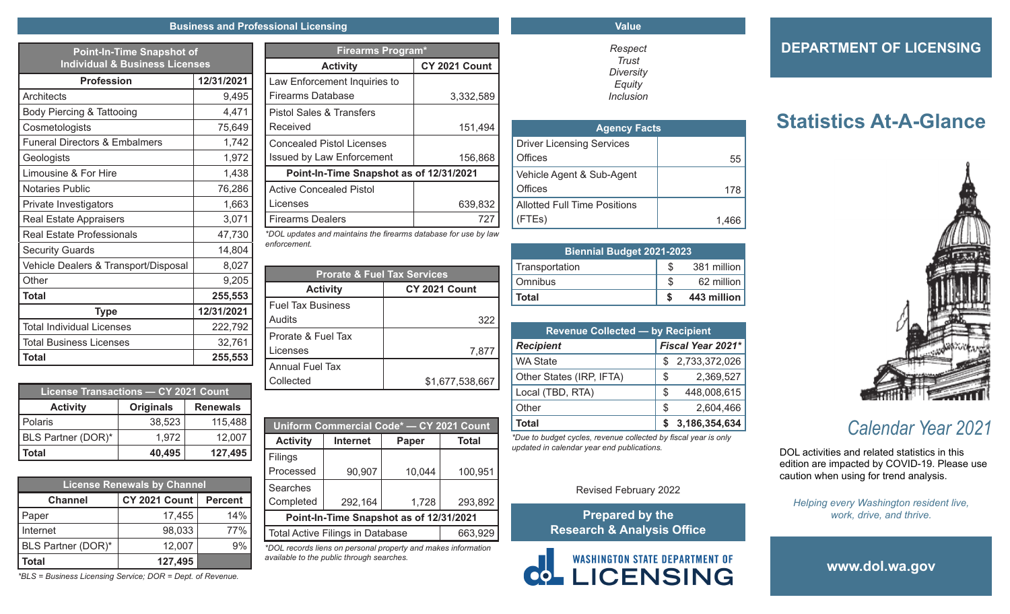#### **Business and Professional Licensing**

| <b>Point-In-Time Snapshot of</b><br><b>Individual &amp; Business Licenses</b> |            |  |
|-------------------------------------------------------------------------------|------------|--|
| <b>Profession</b>                                                             | 12/31/2021 |  |
| Architects                                                                    | 9,495      |  |
| Body Piercing & Tattooing                                                     | 4,471      |  |
| Cosmetologists                                                                | 75,649     |  |
| <b>Funeral Directors &amp; Embalmers</b>                                      | 1,742      |  |
| Geologists                                                                    | 1,972      |  |
| Limousine & For Hire                                                          | 1,438      |  |
| <b>Notaries Public</b>                                                        | 76,286     |  |
| Private Investigators                                                         | 1,663      |  |
| <b>Real Estate Appraisers</b>                                                 | 3,071      |  |
| <b>Real Estate Professionals</b>                                              | 47,730     |  |
| <b>Security Guards</b>                                                        | 14,804     |  |
| Vehicle Dealers & Transport/Disposal                                          | 8,027      |  |
| Other                                                                         | 9,205      |  |
| <b>Total</b>                                                                  | 255,553    |  |
| <b>Type</b>                                                                   | 12/31/2021 |  |
| <b>Total Individual Licenses</b>                                              | 222,792    |  |
| Total Business Licenses                                                       | 32,761     |  |
| <b>Total</b>                                                                  | 255,553    |  |

| <b>License Transactions - CY 2021 Count</b> |                  |                 |  |
|---------------------------------------------|------------------|-----------------|--|
| <b>Activity</b>                             | <b>Originals</b> | <b>Renewals</b> |  |
| Polaris                                     | 38,523           | 115,488         |  |
| BLS Partner (DOR)*                          | 1,972            | 12,007          |  |
| <b>Total</b>                                | 40,495           | 127,495         |  |

| <b>License Renewals by Channel</b>     |         |                |  |  |
|----------------------------------------|---------|----------------|--|--|
| <b>CY 2021 Count</b><br><b>Channel</b> |         | <b>Percent</b> |  |  |
| Paper                                  | 17,455  | 14%            |  |  |
| Internet                               | 98,033  | 77%            |  |  |
| BLS Partner (DOR)*                     | 12,007  | 9%             |  |  |
| Total                                  | 127,495 |                |  |  |

*\*BLS = Business Licensing Service; DOR = Dept. of Revenue.*

| <b>Firearms Program*</b>                |               |  |  |  |
|-----------------------------------------|---------------|--|--|--|
| <b>Activity</b>                         | CY 2021 Count |  |  |  |
| Law Enforcement Inquiries to            |               |  |  |  |
| Firearms Database                       | 3,332,589     |  |  |  |
| Pistol Sales & Transfers                |               |  |  |  |
| Received                                | 151,494       |  |  |  |
| <b>Concealed Pistol Licenses</b>        |               |  |  |  |
| <b>Issued by Law Enforcement</b>        | 156,868       |  |  |  |
| Point-In-Time Snapshot as of 12/31/2021 |               |  |  |  |
| <b>Active Concealed Pistol</b>          |               |  |  |  |
| Licenses                                | 639,832       |  |  |  |
| <b>Firearms Dealers</b>                 | 727           |  |  |  |

*\*DOL updates and maintains the firearms database for use by law enforcement.*

| <b>Prorate &amp; Fuel Tax Services</b> |                      |  |  |  |
|----------------------------------------|----------------------|--|--|--|
| <b>Activity</b>                        | <b>CY 2021 Count</b> |  |  |  |
| <b>Fuel Tax Business</b>               |                      |  |  |  |
| Audits                                 | 322                  |  |  |  |
| Prorate & Fuel Tax                     |                      |  |  |  |
| Licenses                               | 7,877                |  |  |  |
| Annual Fuel Tax                        |                      |  |  |  |
| Collected                              | \$1,677,538,667      |  |  |  |
|                                        |                      |  |  |  |

| Uniform Commercial Code* - CY 2021 Count |                 |        |              |  |
|------------------------------------------|-----------------|--------|--------------|--|
| <b>Activity</b>                          | <b>Internet</b> | Paper  | <b>Total</b> |  |
| Filings                                  |                 |        |              |  |
| Processed                                | 90,907          | 10,044 | 100,951      |  |
| Searches                                 |                 |        |              |  |
| Completed                                | 292,164         | 1,728  | 293,892      |  |
| Point-In-Time Snapshot as of 12/31/2021  |                 |        |              |  |
| <b>Total Active Filings in Database</b>  |                 |        | 663,929      |  |

*\*DOL records liens on personal property and makes information available to the public through searches.*

### **Value**

*Respect Trust Diversity Equity Inclusion*

| <b>Agency Facts</b>                 |       |  |
|-------------------------------------|-------|--|
| <b>Driver Licensing Services</b>    |       |  |
| Offices                             | 55    |  |
| Vehicle Agent & Sub-Agent           |       |  |
| Offices                             | 178   |  |
| <b>Allotted Full Time Positions</b> |       |  |
| FTEs)                               | 1,466 |  |

| <b>Biennial Budget 2021-2023</b> |             |
|----------------------------------|-------------|
| Transportation                   | 381 million |
| Omnibus                          | 62 million  |
| Total                            | 443 million |

| <b>Revenue Collected - by Recipient</b> |    |               |  |  |
|-----------------------------------------|----|---------------|--|--|
| Fiscal Year 2021*<br><b>Recipient</b>   |    |               |  |  |
| <b>WA State</b>                         |    | 2,733,372,026 |  |  |
| Other States (IRP, IFTA)                | S  | 2,369,527     |  |  |
| Local (TBD, RTA)                        | S  | 448,008,615   |  |  |
| Other                                   | \$ | 2,604,466     |  |  |
| Total                                   |    | 3,186,354,634 |  |  |

*\*Due to budget cycles, revenue collected by fiscal year is only updated in calendar year end publications.*

### Revised February 2022

**Prepared by the Research & Analysis Office**



### **DEPARTMENT OF LICENSING**

## **Statistics At-A-Glance**



# *Calendar Year 2021*

DOL activities and related statistics in this edition are impacted by COVID-19. Please use caution when using for trend analysis.

*Helping every Washington resident live, work, drive, and thrive.*

**www.dol.wa.gov**